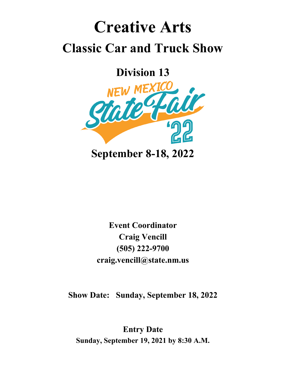## **Creative Arts Classic Car and Truck Show**

**Division 13**



**Event Coordinator Craig Vencill (505) 222-9700 craig.vencill@state.nm.us**

**Show Date: Sunday, September 18, 2022**

**Entry Date Sunday, September 19, 2021 by 8:30 A.M.**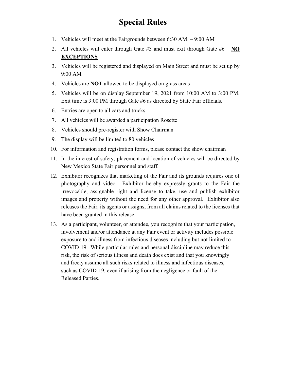## **Special Rules**

- 1. Vehicles will meet at the Fairgrounds between 6:30 AM. 9:00 AM
- 2. All vehicles will enter through Gate #3 and must exit through Gate #6 **NO EXCEPTIONS**
- 3. Vehicles will be registered and displayed on Main Street and must be set up by 9:00 AM
- 4. Vehicles are **NOT** allowed to be displayed on grass areas
- 5. Vehicles will be on display September 19, 2021 from 10:00 AM to 3:00 PM. Exit time is 3:00 PM through Gate #6 as directed by State Fair officials.
- 6. Entries are open to all cars and trucks
- 7. All vehicles will be awarded a participation Rosette
- 8. Vehicles should pre-register with Show Chairman
- 9. The display will be limited to 80 vehicles
- 10. For information and registration forms, please contact the show chairman
- 11. In the interest of safety; placement and location of vehicles will be directed by New Mexico State Fair personnel and staff.
- 12. Exhibitor recognizes that marketing of the Fair and its grounds requires one of photography and video. Exhibitor hereby expressly grants to the Fair the irrevocable, assignable right and license to take, use and publish exhibitor images and property without the need for any other approval. Exhibitor also releases the Fair, its agents or assigns, from all claims related to the licenses that have been granted in this release.
- 13. As a participant, volunteer, or attendee, you recognize that your participation, involvement and/or attendance at any Fair event or activity includes possible exposure to and illness from infectious diseases including but not limited to COVID-19. While particular rules and personal discipline may reduce this risk, the risk of serious illness and death does exist and that you knowingly and freely assume all such risks related to illness and infectious diseases, such as COVID-19, even if arising from the negligence or fault of the Released Parties.